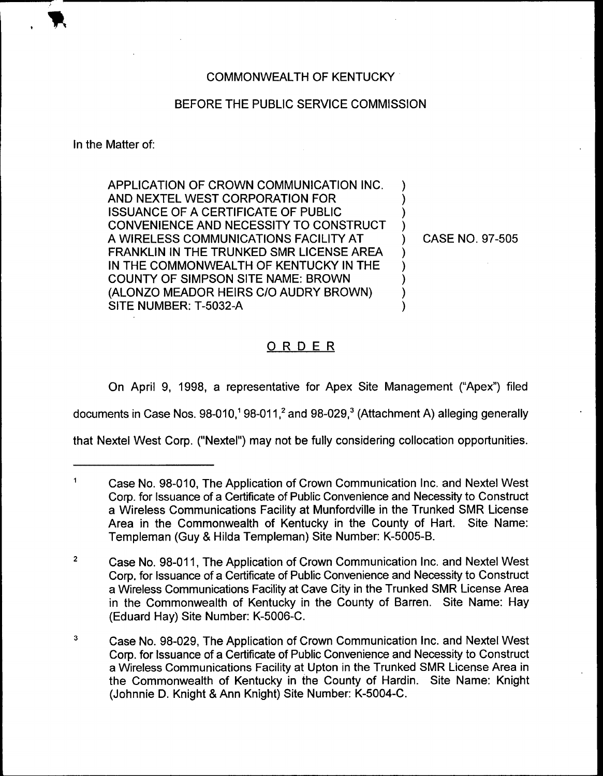# COMMONWEALTH OF KENTUCKY

# BEFORE THE PUBLIC SERVICE COMMISSION

In the Matter of:

APPLICATION OF CROWN COMMUNICATION INC. AND NEXTEL WEST CORPORATION FOR ISSUANCE OF A CERTIFICATE OF PUBLIC CONVENIENCE AND NECESSITY TO CONSTRUCT A WIRELESS COMMUNICATIONS FACILITY AT FRANKLIN IN THE TRUNKED SMR LICENSE AREA IN THE COMMONWEALTH OF KENTUCKY IN THE COUNTY OF SIMPSON SITE NAME: BROWN (ALONZO MEADOR HEIRS C/0 AUDRY BROWN) SITE NUMBER: T-5032-A

) CASE NO. 97-505

) ) )

)<br>)

) ) ) ) )

# ORDER

On April 9, 1998, a representative for Apex Site Management ("Apex") filed

documents in Case Nos.  $98-010$ ,  $98-011$ ,  $2$  and  $98-029$ ,  $3$  (Attachment A) alleging generally

that Nextel West Corp. ("Nextel") may not be fully considering collocation opportunities.

 $\blacksquare$ Case No. 98-010, The Application of Crown Communication Inc. and Nextel West Corp. for Issuance of a Certificate of Public Convenience and Necessity to Construct a Wireless Communications Facility at Munfordville in the Trunked SMR License Area in the Commonwealth of Kentucky in the County of Hart. Site Name: Templeman (Guy & Hilda Templeman) Site Number: K-5005-B.

 $\overline{2}$ Case No. 98-011,The Application of Crown Communication lnc. and Nextel West Corp. for Issuance of a Certificate of Public Convenience and Necessity to Construct a Wireless Communications Facility at Cave City in the Trunked SMR License Area in the Commonwealth of Kentucky in the County of Barren. Site Name: Hay (Eduard Hay) Site Number: K-5006-C.

 $\mathbf{3}$ Case No. 98-029, The Application of Crown Communication lnc. and Nextel West Corp. for Issuance of a Certificate of Public Convenience and Necessity to Construct a Wireless Communications Facility at Upton in the Trunked SMR License Area in the Commonwealth of Kentucky in the County of Hardin. Site Name: Knight (Johnnie D. Knight & Ann Knight) Site Number: K-5004-C.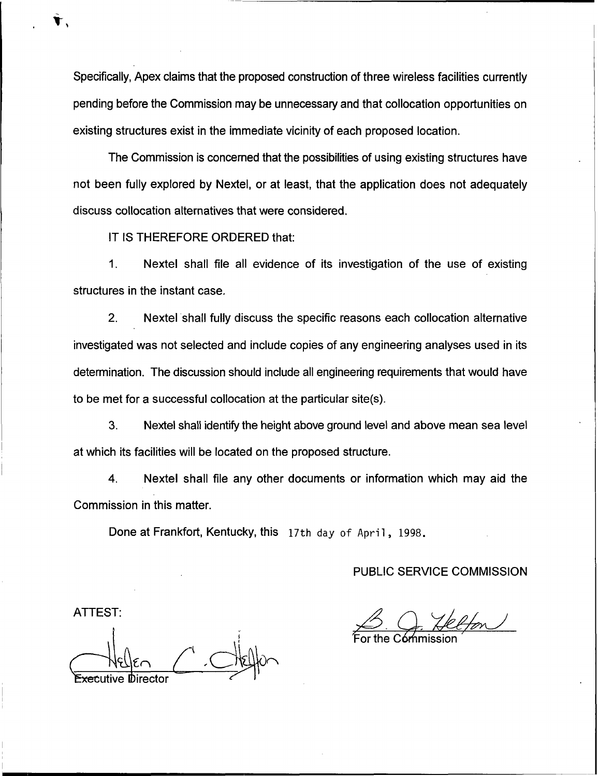Specifically, Apex claims that the proposed construction of three wireless facilities currently pending before the Commission may be unnecessary and that collocation opportunities on existing structures exist in the immediate vicinity of each proposed location.

The Commission is concerned that the possibilities of using existing structures have not been fully explored by Nextel, or at least, that the application does not adequately discuss collocation alternatives that were considered.

IT IS THEREFORE ORDERED that:

1. Nextel shall file all evidence of its investigation of the use of existing structures in the instant case.

2. Nextel shall fully discuss the specific reasons each collocation alternative investigated was not selected and include copies of any engineering analyses used in its determination. The discussion should include all engineering requirements that would have to be met for a successful collocation at the particular site(s).

3. Nextel shall identify the height above ground level and above mean sea level at which its facilities will be located on the proposed structure.

4. Nextel shall file any other documents or information which may aid the Commission in this matter.

Done at Frankfort, Kentucky, this 17th day of April, 1998.

PUBLIC SERVICE COMMISSION

For the C**ór**nmissic

 $e$  $e$  $\frac{e}{e}$ ve **Directo** 

ATTEST: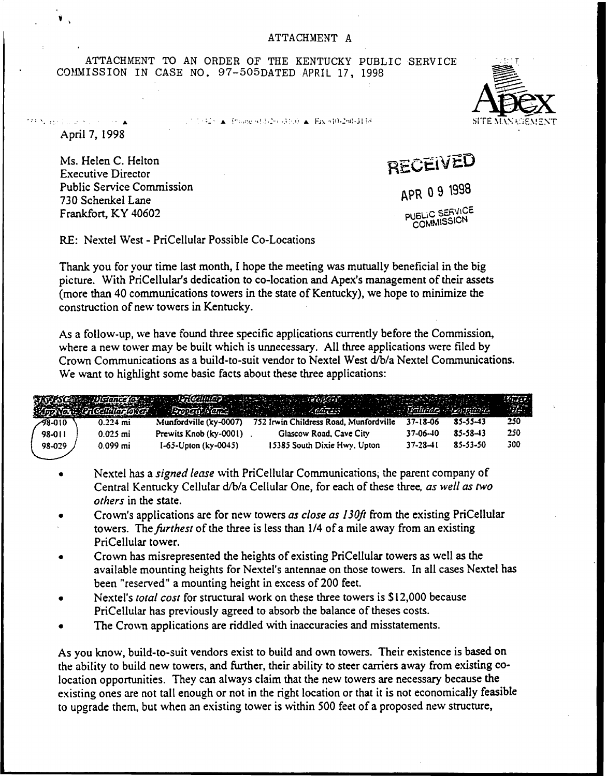ATTACHMENT TO AN ORDER OF THE KENTUCKY PUBLIC SERVICE COMMISSION IN CASE NO. 97-505DATED APRIL 17, 1998

April 7, 1998

**MAIN BARD LORES CONTRACTOR** 

Ms. Helen C. Helton Executive Director Public Service Commission 730 Schenkel Lane Frankfort, KY 40602

!nn.r r. 7', <sup>i</sup> ~ - .'.ll <sup>a</sup> <sup>t</sup> ix 'sin-''.<,.sl <sup>7</sup> 'lTE!hl.ih,~:2.':.:<2!=4 <sup>r</sup>

RECEIVED

APR 09 1998 PUBLIC SERVICE COMMISSION

RE: Nextel West - PriCellular Possible Co-Locations

Thank you for your time last month, I hope the meeting was mutually beneficial in the big picture. With PriCellular's dedication to co-location and Apex's management of their assets (more than 40 communications towers in the state of Kentucky), we hope to minimize the construction of new towers in Kentucky.

As a follow-up, we have found three specific applications currently before the Commission, where a new tower may be built which is unnecessary. All three applications were filed by Crown Communications as a build-to-suit vendor to Nextel West d/b/a Nextel Communications. We want to highlight some basic facts about these three applications:

|         |            |                             | Ar PSG Distance los seus de l'Electivita y de la calendaria de la concerta de la concerta de la concerta del p<br>Vivon de l'Entertaine de la calendaria del concerta del concerta del concerta del propincione del propincione |                |          |     |
|---------|------------|-----------------------------|---------------------------------------------------------------------------------------------------------------------------------------------------------------------------------------------------------------------------------|----------------|----------|-----|
| -98-010 | $0.224$ mi | Munfordville (ky-0007)      | 752 Irwin Childress Road, Munfordville                                                                                                                                                                                          | 37-18-06       | 85-55-43 | 250 |
| 98-011  | $0.025$ mi | Prewits Knob (ky-0001)      | Glascow Road, Cave City                                                                                                                                                                                                         | 37-06-40       | 85-58-43 | 250 |
| 98-029  | $0.099$ mi | $1-65$ -Upton (ky $-0045$ ) | 15385 South Dixie Hwy, Upton                                                                                                                                                                                                    | $37 - 28 - 11$ | 85-53-50 | 300 |

- Nextel has a signed lease with PriCellular Communications, the parent company of Central Kentucky Cellular d/b/a Cellular One, for each of these three, as well as two others in the state.
- Crown's applications are for new towers as close as 130ft from the existing PriCellular towers. The *furthest* of the three is less than 1/4 of a mile away from an existing PriCellular tower.
- Crown has misrepresented the heights of existing PriCellular towers as well as the  $\bullet$ available mounting heights for Nextel's antennae on those towers. In all cases Nextel has been "reserved" a mounting height in excess of 200 feet.
- Nextel's total cost for structural work on these three towers is \$12,000 because PriCellular has previously agreed to absorb the balance of theses costs.
- The Crown applications are riddled with inaccuracies and misstatements.

As you know, build-to-suit vendors exist to build and own towers. Their existence is based on the ability to build new towers, and further, their ability to steer carriers away from existing colocation opportunities. They can always claim that the new towers are necessary because the existing ones are not tall enough or not in the right location or that it is not economically feasible to upgrade them, but when an existing tower is within 500 feet of a proposed new structure,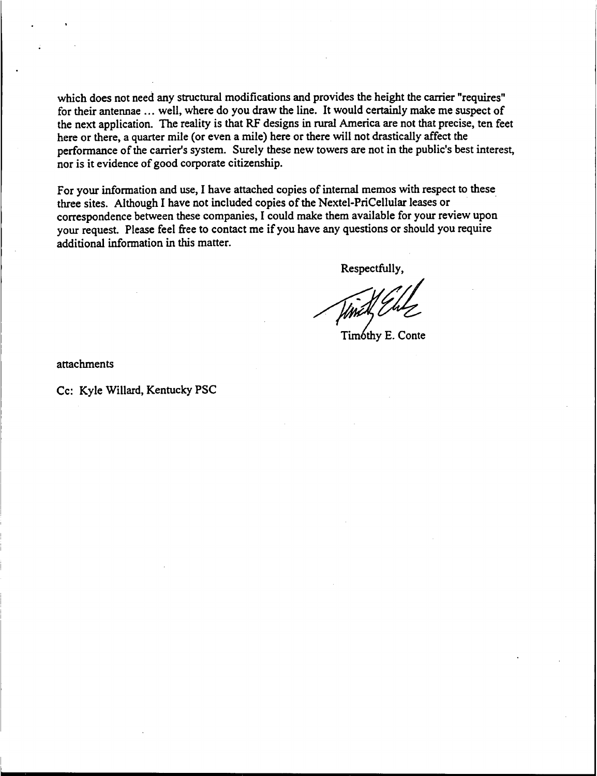which does not need any structural modifications and provides the height the carrier "requires" for their antennae ... well, where do you draw the line. It would certainly make me suspect of the next application. The reality is that RF designs in rural America are not that precise, ten feet here or there, a quarter mile (or even a mile) here or there will not drastically affect the performance of the carrier's system. Surely these new towers are not in the public's best interest, nor is it evidence of good corporate citizenship.

For your information and use, I have attached copies of internal memos with respect to these three sites. Although I have not included copies of the Nextel-PriCellular leases or correspondence between these companies, I could make them available for your review upon your request. Please feel free to contact me if you have any questions or should you require additional information in this matter.

Respectfully,

Timothy E. Conte

attachments

Cc: Kyle %illard, Kentucky PSC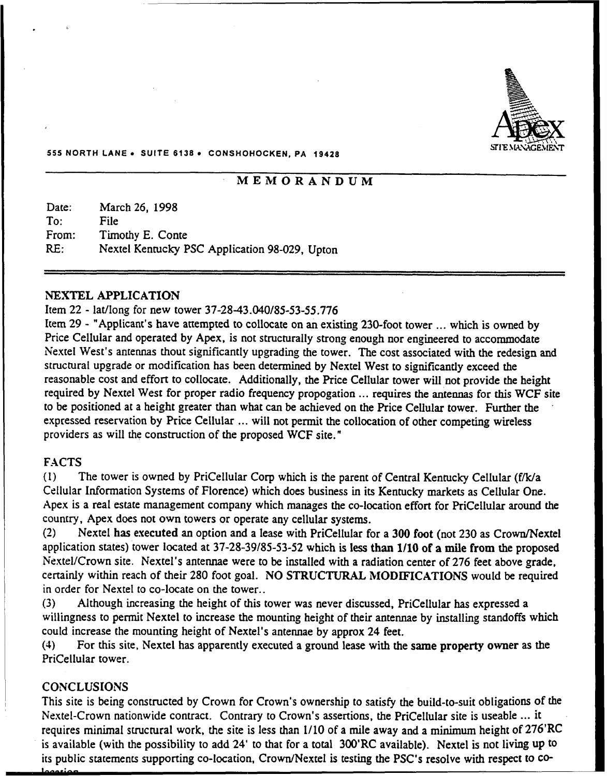

#### 555 NORTH LANE . SUITE 6138 . CONSHOHOCKEN, PA 19428

# iVlEMORANDUM

Date: To: From: RE: March 26, 1998 File Timothy E. Conte Nextel Kentucky PSC Application 98-029, Upton

#### NEXTEL APPLICATION

#### Item 22 - lat/long for new tower 37-28-43.040/85-53-55.776

Item 29 - "Applicant's have attempted to collocate on an existing 230-foot tower ... which is owned by Price Cellular and operated by Apex, is not structurally strong enough nor engineered to accommodate Nextel West's antennas thout significantly upgrading the tower. The cost associated with the redesign and structural upgrade or modification has been determined by Nextel West to significantly exceed the reasonable cost and effort to collocate. Additionally, the Price Cellular tower will not provide the height required by Nextel West for proper radio frequency propogation ... requires the antennas for this WCF site to be positioned at a height greater than what can be achieved on the Price Cellular tower. Further the expressed reservation by Price Cellular ... will not permit the collocation of other competing wireless providers as will the construction of the proposed WCF site."

## FACTS

(1} The tower is owned by PriCellular Corp which is the parent of Central Kentucky Cellular (f/k/a Cellular Information Systems of Florence) which does business in its Kentucky markets as Cellular One. Apex is a real estate management company which manages the co-location effort for PriCellular around the country, Apex does not own towers or operate any cellular systems.

(2) Nextel has executed an option and a lease with PriCellular for a 300 foot (not 230 as Crown/Nextel application states) tower located at 37-28-39/85-53-52 which is less than 1/10 of a mile from the proposed Nextel/Crown site. Nextel's antennae were to be installed with a radiation center of 276 feet above grade, certainly within reach of their 280 foot goal. NO STRUCTURAL MODIFICATIONS would be required in order for Nextel to co-locate on the tower..

(3) Although increasing the height of this tower was never discussed, PriCellular has expressed a willingness to permit Nextel to increase the mounting height of their antennae by installing standoffs which could increase the mounting height of Nextel's antennae by approx 24 feet.

(4) For this site, Nextel has apparently executed a ground lease with the same property owner as the PriCellular tower.

#### **CONCLUSIONS**

This site is being constructed by Crown for Crown's ownership to satisfy the build-to-suit obligations of the Nextel-Crown nationwide contract. Contrary to Crown's assertions, the PriCellular site is useable ... it requires minimal structural work, the site is less than 1/10 of a mile away and a minimum height of 276'RC is available (with the possibility to add 24' to that for a total 300'RC available). Nextel is not living up to its public statements supporting co-location, Crown/Nextel is testing the PSC's resolve with respect to co-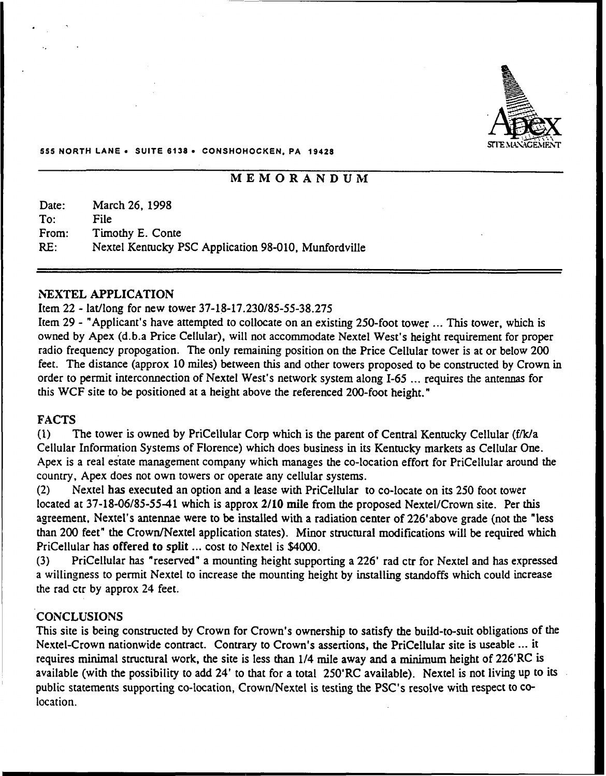

#### 555 NORTH LANE <sup>~</sup> SUITE 6138 <sup>~</sup> CONSHOHOCKEN, PA 19426

# MEMORANDUM

Date: To: From: RE: March 26, 1998 File Timothy E. Conte Nextel Kentucky PSC Application 98-010, Munfordville

#### **NEXTEL APPLICATION**

#### Item 22 - lat/long for new tower 37-18-17.230/85-55-38.275

Item 29 - "Applicant's have attempted to collocate on an existing 250-foot tower ... This tower, which is owned by Apex (d.b.a Price Cellular), will not accommodate Nextel West's height requirement for proper radio frequency propogation. The only remaining position on the Price Cellular tower is at or below 200 feet. The distance (approx 10 miles) between this and other towers proposed to be constructed by Crown in order to permit interconnection of Nextel West's network system along I-65 ... requires the antennas for this WCF site to be positioned at a height above the referenced 200-foot height."

# FACTS

(1) The tower is owned by PriCellular Corp which is the parent of Central Kentucky Cellular (f/k/a Cellular Information Systems of Florence) which does business in its Kentucky markets as Cellular One. Apex is a real estate management company which manages the co-location effort for PriCellular around the country, Apex does not own towers or operate any cellular systems.

(2) Nextel has executed an option and a lease with PriCellular to co-locate on its 250 foot tower located at 37-18-06/85-55-41 which is approx 2/10 mile from the proposed Nextel/Crown site. Per this agreement, Nextel's antennae were to be installed with a radiation center of 226'above grade (not the "less than 200 feet" the Crown/Nextel application states). Minor structural modifications will be required which PriCellular has offered to split ... cost to Nextel is \$4000.

(3) PriCellular has "reserved" a mounting height supporting a 226' rad ctr for Nextel and has expressed a willingness to permit Nextel to increase the mounting height by installing standoffs which could increase the rad ctr by approx 24 feet.

#### **CONCLUSIONS**

This site is being constructed by Crown for Crown's ownership to satisfy the build-to-suit obligations of the Nextel-Crown nationwide contract. Contrary to Crown's assertions, the PriCellular site is useable ... it requires minimal structural work, the site is less than  $1/4$  mile away and a minimum height of  $226'RC$  is available (with the possibility to add 24' to that for a total 250'RC available). Nextel is not living up to its public statements supporting co-location, Crown/Nextel is testing the PSC's resolve with respect to colocation.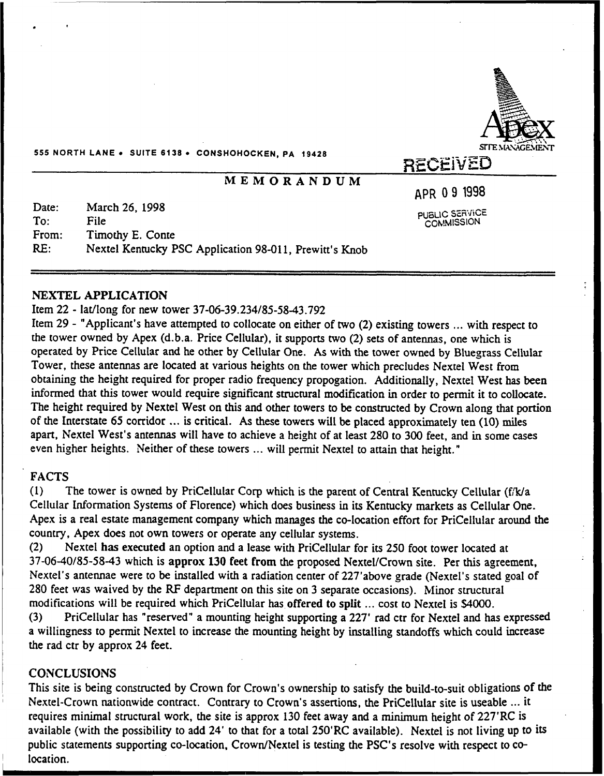

555 NORTH LANE . SUITE 6138 . CONSHOHOCKEN, PA 19428

# MEMORANDUM

APR 09 1998

PUBLIC SERVICE **COMMISSION** 

Date: To: From: RE: March 26, 1998 File Timothy E. Conte Nextel Kentucky PSC Application 98-011, Prewitt's Knob

#### NEXTEL APPLICATION

#### Item 22 - lat/long for new tower 37-06-39.234/85-5843.792

Item 29 - "Applicant's have attempted to collocate on either of two (2) existing towers ... with respect to the tower owned by Apex (d.b.a. Price Cellular), it supports two (2) sets of antennas, one which is operated by Price Cellular and he other by Cellular One. As with the tower owned by Bluegrass Cellular Tower, these antennas are located at various heights on the tower which precludes Nextel West from obtaining the height required for proper radio frequency propogation. Additionally, Nextel West has been informed that this tower would require significant structural modification in order to permit it to collocate. The height required by Nextel West on this and other towers to be constructed by Crown along that portion of the Interstate <sup>65</sup> corridor ...is critical. As these towers will be placed approximately ten (10) miles apart, Nextel West's antennas will have to achieve a height of at least 280 to 300 feet, and in some cases even higher heights. Neither of these towers ... will permit Nextel to attain that height."

## FACTS

(1) The tower is owned by PriCellular Corp which is the parent of Central Kentucky Cellular (f/k/a Cellular Information Systems of Florence) which does business in its Kentucky markets as Cellular One. Apex is a real estate management company which manages the co-location effort for PriCellular around the country, Apex does not own towers or operate any cellular systems.

(2) Nextel has executed an option and a lease with PriCellular for its 250 foot tower located at 37-06-40/85-5843 which is approx 130 feet from the proposed Nextel/Crown site. Per this agreement, Nextel's antennae were to be installed with a radiation center of 227'above grade (Nextel's stated goal of 280 feet was waived by the RF department on this site on 3 separate occasions). Minor structural modifications will be required which PriCellular has offered to split ... cost to Nextel is \$4000.<br>(3) PriCellular has "reserved" a mounting height supporting a 227' rad ctr for Nextel and ha

PriCellular has "reserved" a mounting height supporting a 227' rad ctr for Nextel and has expressed a willingness to permit Nextel to increase the mounting height by installing standoffs which could increase the rad ctr by approx 24 feet.

#### **CONCLUSIONS**

This site is being constructed by Crown for Crown's ownership to satisfy the build-to-suit obligations of the Nextel-Crown nationwide contract. Contrary to Crown's assertions, the PriCellular site is useable ... it requires minimal structural work, the site is approx 130 feet away and a minimum height of 227'RC is available (with the possibility to add 24' to that for a total 250'RC available). Nextel is not living up to its public statements supporting co-location, Crown/Nextel is testing the PSC's resolve with respect to colocation.